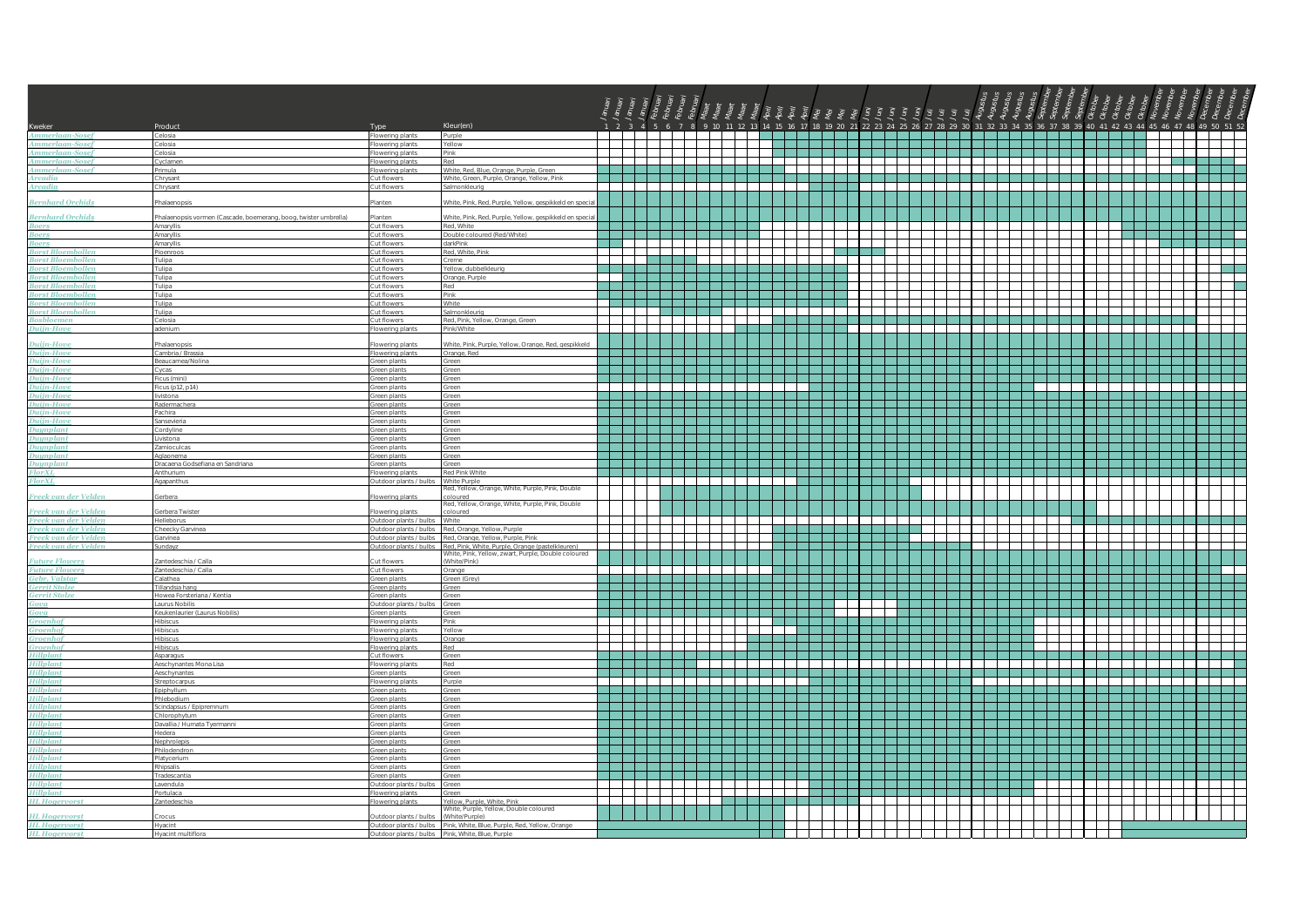| Kweker                                               | Product                                                          | Type                                             | Kleur(en)                                                                              |                                         |                                                                                                                          |                                          |                                   |                                        |                             | 2 3 4 5 6 7 8 9 10 11 12 13 14 15 16 17 18 19 20 21 22 23 24 25 26 27 28 29 30 31 32 33 34 35 36 37 38 39 40 41 42 43 44 45 46 47 48 49 50 51 52                                                                               |                                |                                                                                                               |                                                                                                                                                                                                                                |             |                                                                                                                       |                                                                                                                                                                                                                                                                                                                                                                                                                                                                                                   |                                                                                                                                                |                                                                                                                                                                                                                                |                                                                                                                                                                                                                                      |  |
|------------------------------------------------------|------------------------------------------------------------------|--------------------------------------------------|----------------------------------------------------------------------------------------|-----------------------------------------|--------------------------------------------------------------------------------------------------------------------------|------------------------------------------|-----------------------------------|----------------------------------------|-----------------------------|--------------------------------------------------------------------------------------------------------------------------------------------------------------------------------------------------------------------------------|--------------------------------|---------------------------------------------------------------------------------------------------------------|--------------------------------------------------------------------------------------------------------------------------------------------------------------------------------------------------------------------------------|-------------|-----------------------------------------------------------------------------------------------------------------------|---------------------------------------------------------------------------------------------------------------------------------------------------------------------------------------------------------------------------------------------------------------------------------------------------------------------------------------------------------------------------------------------------------------------------------------------------------------------------------------------------|------------------------------------------------------------------------------------------------------------------------------------------------|--------------------------------------------------------------------------------------------------------------------------------------------------------------------------------------------------------------------------------|--------------------------------------------------------------------------------------------------------------------------------------------------------------------------------------------------------------------------------------|--|
| unerlaan-Sosef<br><b>Ammerlaan-Sosef</b>             | Celosia<br>Celosia                                               | <b>Elowering plants</b><br>Flowering plants      | Purple<br>Yellow                                                                       |                                         |                                                                                                                          |                                          |                                   | 1999 - Peter Benedict II (1999)        | <b>The Second</b>           |                                                                                                                                                                                                                                |                                | .                                                                                                             | and the control of the control of the control of the control of the control of the control of the control of the control of the control of the control of the control of the control of the control of the control of the cont |             | .                                                                                                                     |                                                                                                                                                                                                                                                                                                                                                                                                                                                                                                   |                                                                                                                                                |                                                                                                                                                                                                                                | .                                                                                                                                                                                                                                    |  |
| <b>Ammerlaan-Sosef</b>                               | Celosia                                                          | Flowering plants                                 | Pink                                                                                   |                                         |                                                                                                                          |                                          |                                   |                                        |                             |                                                                                                                                                                                                                                |                                | <u> La La La La</u>                                                                                           |                                                                                                                                                                                                                                |             |                                                                                                                       |                                                                                                                                                                                                                                                                                                                                                                                                                                                                                                   |                                                                                                                                                |                                                                                                                                                                                                                                |                                                                                                                                                                                                                                      |  |
| Ammerlaan-Sosef                                      | Cyclamen                                                         | Flowering plants                                 | Red                                                                                    |                                         |                                                                                                                          |                                          |                                   | ┿                                      | $\mathbf{I}$                | a da b                                                                                                                                                                                                                         |                                | Film and                                                                                                      | 7 H H H                                                                                                                                                                                                                        | T 1 1 1 1 1 | Tarajar                                                                                                               | $\begin{tabular}{c} \multicolumn{1}{c} {\textbf{1}} & \multicolumn{1}{c} {\textbf{1}} \\ \multicolumn{1}{c} {\textbf{1}} & \multicolumn{1}{c} {\textbf{1}} \\ \multicolumn{1}{c} {\textbf{1}} & \multicolumn{1}{c} {\textbf{1}} \\ \multicolumn{1}{c} {\textbf{1}} & \multicolumn{1}{c} {\textbf{1}} \\ \multicolumn{1}{c} {\textbf{1}} & \multicolumn{1}{c} {\textbf{1}} \\ \multicolumn{1}{c} {\textbf{1}} & \multicolumn{1}{c} {\textbf{1}} \\ \multicolumn{1}{c} {\textbf{1}} & \multicolumn$ |                                                                                                                                                |                                                                                                                                                                                                                                |                                                                                                                                                                                                                                      |  |
| <b>Ammerlaan-Sosef</b>                               | Primula                                                          | Flowering plants                                 | White, Red. Blue, Orange, Purple, Green                                                |                                         |                                                                                                                          | a la la la la la la la la                |                                   | alah dari Se                           | m.                          |                                                                                                                                                                                                                                |                                |                                                                                                               |                                                                                                                                                                                                                                |             |                                                                                                                       |                                                                                                                                                                                                                                                                                                                                                                                                                                                                                                   |                                                                                                                                                |                                                                                                                                                                                                                                | a kacamatan Ing                                                                                                                                                                                                                      |  |
| Arcadia<br><b>Arcadia</b>                            | Chrysant<br>Chrysant                                             | Cut flowers<br>Cut flowers                       | White, Green, Purple, Orange, Yellow, Pink<br>Salmonkleurig                            |                                         |                                                                                                                          |                                          |                                   |                                        | $\overline{\phantom{a}}$    |                                                                                                                                                                                                                                |                                | .<br><u> Estados de Esta</u>                                                                                  | a serika besar dan sebagai kecamatan sasu                                                                                                                                                                                      | TTTT L      | $\overline{\phantom{a}}$                                                                                              | <u> 1950 - 1950 - 1950 - 1950 - 1950 - 1950 - 1950 - 1950 - 1950 - 1950 - 1950 - 1950 - 1950 - 1950 - 1950 - 19</u>                                                                                                                                                                                                                                                                                                                                                                               | an an In                                                                                                                                       |                                                                                                                                                                                                                                |                                                                                                                                                                                                                                      |  |
| <b>Bernhard Orchids</b>                              |                                                                  | lanten                                           |                                                                                        |                                         |                                                                                                                          |                                          |                                   |                                        |                             |                                                                                                                                                                                                                                |                                |                                                                                                               |                                                                                                                                                                                                                                |             |                                                                                                                       |                                                                                                                                                                                                                                                                                                                                                                                                                                                                                                   |                                                                                                                                                |                                                                                                                                                                                                                                |                                                                                                                                                                                                                                      |  |
|                                                      | halaenopsis                                                      |                                                  | White, Pink, Red, Purple, Yellow, gespikkeld en spec                                   |                                         |                                                                                                                          |                                          |                                   |                                        |                             |                                                                                                                                                                                                                                |                                |                                                                                                               |                                                                                                                                                                                                                                |             |                                                                                                                       |                                                                                                                                                                                                                                                                                                                                                                                                                                                                                                   |                                                                                                                                                |                                                                                                                                                                                                                                |                                                                                                                                                                                                                                      |  |
| <b>Bernhard Orchids</b>                              | Phalaenopsis vormen (Cascade, boemerang, boog, twister umbrella) | lanten                                           | White, Pink, Red, Purple, Yellow, gespikkeld en speci                                  |                                         |                                                                                                                          |                                          |                                   |                                        |                             |                                                                                                                                                                                                                                |                                |                                                                                                               |                                                                                                                                                                                                                                |             |                                                                                                                       |                                                                                                                                                                                                                                                                                                                                                                                                                                                                                                   |                                                                                                                                                |                                                                                                                                                                                                                                |                                                                                                                                                                                                                                      |  |
| <b>Boers</b>                                         | Amaryllis                                                        | Cut flowers                                      | Red, White                                                                             |                                         | n a T                                                                                                                    | .                                        |                                   |                                        | $\mathbf{I}$                | $\mathbf{1}$                                                                                                                                                                                                                   |                                |                                                                                                               | 7 H H H                                                                                                                                                                                                                        | TITT L      | an di Tanzania                                                                                                        |                                                                                                                                                                                                                                                                                                                                                                                                                                                                                                   | an an India an India.<br><b>The Contract of the Contract of the Contract of the Contract of the Contract of the Contract of the Contract o</b> |                                                                                                                                                                                                                                |                                                                                                                                                                                                                                      |  |
| <b>Boers</b><br><b>Boers</b>                         | Amaryllis<br>Amaryllis                                           | Cut flowers<br>Cut flowers                       | Double coloured (Red/White)<br>darkPink                                                |                                         |                                                                                                                          |                                          |                                   |                                        |                             |                                                                                                                                                                                                                                |                                |                                                                                                               |                                                                                                                                                                                                                                |             |                                                                                                                       |                                                                                                                                                                                                                                                                                                                                                                                                                                                                                                   |                                                                                                                                                |                                                                                                                                                                                                                                |                                                                                                                                                                                                                                      |  |
| <b>Borst Bloemboller</b>                             | Pioenroos                                                        | Cut flowers                                      | Red, White, Pink                                                                       |                                         |                                                                                                                          | ┼┼┼                                      |                                   |                                        |                             |                                                                                                                                                                                                                                |                                | and the state of the state                                                                                    |                                                                                                                                                                                                                                |             |                                                                                                                       |                                                                                                                                                                                                                                                                                                                                                                                                                                                                                                   | $\perp$                                                                                                                                        | $\mathcal{L}$                                                                                                                                                                                                                  | <u>a shekara ta 1999 na shekara ta 1991 na shekara ta 1991 na shekara ta 1991 na shekara ta 1991 na shekara ta 1991 na shekara ta 1991 na shekara ta 1991 na shekara ta 1991 na shekara ta 1991 na shekara ta 1991 na shekara ta</u> |  |
| <b>Borst Bloembollen</b>                             | Tulipa                                                           | Cut flowers                                      | Creme                                                                                  |                                         |                                                                                                                          | <u>ta ta kasa</u>                        |                                   | T                                      |                             | $\mathbf{I}$                                                                                                                                                                                                                   |                                |                                                                                                               |                                                                                                                                                                                                                                |             |                                                                                                                       |                                                                                                                                                                                                                                                                                                                                                                                                                                                                                                   |                                                                                                                                                |                                                                                                                                                                                                                                |                                                                                                                                                                                                                                      |  |
| <b>Borst Bloemboller</b><br><b>Borst Bloemboller</b> | Tulipa<br>Tulipa                                                 | Cut flowers<br>Cut flowers                       | Yellow, dubbelkleurig<br>Orange, Purple                                                | and the state of the state of the state |                                                                                                                          |                                          |                                   |                                        |                             |                                                                                                                                                                                                                                |                                |                                                                                                               |                                                                                                                                                                                                                                |             | and the property of the                                                                                               |                                                                                                                                                                                                                                                                                                                                                                                                                                                                                                   | $\pm$                                                                                                                                          | $\sim$ 10 $\mu$                                                                                                                                                                                                                | an sa Tana                                                                                                                                                                                                                           |  |
| <b>Borst Bloembollen</b>                             | Tulipa                                                           | Cut flowers                                      | Red                                                                                    |                                         | a kata ing Kabupatèn Kabupatén Ing Kabupatèn Kabupatèn Kabupatèn Kabupatèn Kabupatèn Kabupatèn Kabupatèn Kabup           |                                          |                                   |                                        |                             |                                                                                                                                                                                                                                |                                |                                                                                                               |                                                                                                                                                                                                                                |             | $\overline{\phantom{a}}$                                                                                              |                                                                                                                                                                                                                                                                                                                                                                                                                                                                                                   | $\Box$                                                                                                                                         | T                                                                                                                                                                                                                              |                                                                                                                                                                                                                                      |  |
| <b>Borst Bloembollen</b>                             | Tulipa                                                           | Cut flowers                                      | Pink                                                                                   |                                         |                                                                                                                          |                                          |                                   |                                        |                             |                                                                                                                                                                                                                                |                                |                                                                                                               |                                                                                                                                                                                                                                |             |                                                                                                                       |                                                                                                                                                                                                                                                                                                                                                                                                                                                                                                   |                                                                                                                                                |                                                                                                                                                                                                                                |                                                                                                                                                                                                                                      |  |
| <b>Borst Bloembollen</b><br><b>Borst Bloembollen</b> | Tulipa                                                           | Cut flowers                                      | White                                                                                  | —<br> <br>                              |                                                                                                                          | a kacamatan ing Kabupatèn Kabupatén Kabu |                                   |                                        |                             |                                                                                                                                                                                                                                |                                |                                                                                                               |                                                                                                                                                                                                                                |             |                                                                                                                       | and a bh                                                                                                                                                                                                                                                                                                                                                                                                                                                                                          |                                                                                                                                                |                                                                                                                                                                                                                                |                                                                                                                                                                                                                                      |  |
| <b>Bosbloemen</b>                                    | Tulipa<br>Celosia                                                | Cut flowers<br>Cut flowers                       | Salmonkleurig<br>Red, Pink, Yellow, Orange, Green                                      |                                         |                                                                                                                          | $\Box$                                   | ┶┷┷                               |                                        |                             |                                                                                                                                                                                                                                | n a T                          |                                                                                                               |                                                                                                                                                                                                                                |             | Ш.                                                                                                                    |                                                                                                                                                                                                                                                                                                                                                                                                                                                                                                   | al de la                                                                                                                                       | <b>The Co</b>                                                                                                                                                                                                                  |                                                                                                                                                                                                                                      |  |
| Duijn-Hove                                           | adenium                                                          | Flowering plants                                 | Pink/White                                                                             |                                         |                                                                                                                          |                                          |                                   | $\overline{\phantom{a}}$               |                             |                                                                                                                                                                                                                                |                                |                                                                                                               |                                                                                                                                                                                                                                |             |                                                                                                                       |                                                                                                                                                                                                                                                                                                                                                                                                                                                                                                   |                                                                                                                                                |                                                                                                                                                                                                                                |                                                                                                                                                                                                                                      |  |
| Duijn-Hove                                           | halaenopsis                                                      | lowering plants                                  | Vhite, Pink, Purple, Yellow, Orange, Red, gespikkeld                                   |                                         |                                                                                                                          |                                          |                                   |                                        |                             |                                                                                                                                                                                                                                |                                |                                                                                                               |                                                                                                                                                                                                                                |             |                                                                                                                       |                                                                                                                                                                                                                                                                                                                                                                                                                                                                                                   |                                                                                                                                                |                                                                                                                                                                                                                                |                                                                                                                                                                                                                                      |  |
| Duiin-Hove                                           | Cambria / Brassia                                                | Flowering plants                                 | Orange, Red                                                                            |                                         |                                                                                                                          |                                          |                                   |                                        |                             |                                                                                                                                                                                                                                |                                |                                                                                                               |                                                                                                                                                                                                                                |             |                                                                                                                       |                                                                                                                                                                                                                                                                                                                                                                                                                                                                                                   |                                                                                                                                                |                                                                                                                                                                                                                                |                                                                                                                                                                                                                                      |  |
| Duijn-Hove                                           | Beaucarnea/Nolina                                                | Green plants                                     | Green                                                                                  |                                         |                                                                                                                          |                                          |                                   |                                        |                             | .                                                                                                                                                                                                                              |                                |                                                                                                               | an an I                                                                                                                                                                                                                        |             | .                                                                                                                     |                                                                                                                                                                                                                                                                                                                                                                                                                                                                                                   |                                                                                                                                                |                                                                                                                                                                                                                                |                                                                                                                                                                                                                                      |  |
| Duiin-Hove<br>Duijn-Hove                             | Cycas                                                            | Green plants                                     | Green<br>Green                                                                         |                                         |                                                                                                                          |                                          |                                   |                                        |                             |                                                                                                                                                                                                                                |                                |                                                                                                               |                                                                                                                                                                                                                                |             |                                                                                                                       |                                                                                                                                                                                                                                                                                                                                                                                                                                                                                                   |                                                                                                                                                |                                                                                                                                                                                                                                |                                                                                                                                                                                                                                      |  |
| Duijn-Hove                                           | icus (mini)<br>Ficus (p12, p14)                                  | Green plants<br>Green plants                     | Green                                                                                  | $\sim$ 1 $\sim$ 1 $\sim$                |                                                                                                                          | .                                        |                                   |                                        |                             | - 1 - 1 - 1                                                                                                                                                                                                                    |                                |                                                                                                               |                                                                                                                                                                                                                                |             |                                                                                                                       | - 1 - 1 - 1 - 1                                                                                                                                                                                                                                                                                                                                                                                                                                                                                   |                                                                                                                                                |                                                                                                                                                                                                                                |                                                                                                                                                                                                                                      |  |
| <b>Duijn-Hove</b>                                    | vistona                                                          | Green plants                                     | Green                                                                                  |                                         |                                                                                                                          |                                          |                                   |                                        |                             |                                                                                                                                                                                                                                |                                |                                                                                                               |                                                                                                                                                                                                                                |             |                                                                                                                       |                                                                                                                                                                                                                                                                                                                                                                                                                                                                                                   |                                                                                                                                                |                                                                                                                                                                                                                                |                                                                                                                                                                                                                                      |  |
| Duijn-Hove<br><b>Duiin-Hove</b>                      | adermachera                                                      | Green plant                                      | Green<br>Green                                                                         |                                         | an bahasa dan bahasa dan bagian dan bagian dan bagian dan bagian dan bagian dan bagian dan bagian dan bagian d           |                                          |                                   |                                        |                             |                                                                                                                                                                                                                                |                                | <u> a shekara ta 1999</u>                                                                                     |                                                                                                                                                                                                                                |             |                                                                                                                       | a kata ing Pala                                                                                                                                                                                                                                                                                                                                                                                                                                                                                   |                                                                                                                                                |                                                                                                                                                                                                                                |                                                                                                                                                                                                                                      |  |
| Duijn-Hove                                           | Pachira<br>Sansevieria                                           | Green plants<br>Green plants                     | Green                                                                                  |                                         | a sa sa                                                                                                                  |                                          |                                   |                                        |                             |                                                                                                                                                                                                                                |                                |                                                                                                               |                                                                                                                                                                                                                                |             |                                                                                                                       |                                                                                                                                                                                                                                                                                                                                                                                                                                                                                                   |                                                                                                                                                |                                                                                                                                                                                                                                |                                                                                                                                                                                                                                      |  |
| <b>Duumplant</b>                                     | enilvine?                                                        | Green plants                                     | Green                                                                                  |                                         |                                                                                                                          |                                          |                                   |                                        |                             |                                                                                                                                                                                                                                |                                |                                                                                                               |                                                                                                                                                                                                                                |             |                                                                                                                       |                                                                                                                                                                                                                                                                                                                                                                                                                                                                                                   |                                                                                                                                                |                                                                                                                                                                                                                                |                                                                                                                                                                                                                                      |  |
| <b>Dunmlant</b>                                      | livistona                                                        | Green plants                                     | Green                                                                                  |                                         |                                                                                                                          |                                          | and the state of the state of the |                                        |                             | a katika T                                                                                                                                                                                                                     | an di S                        |                                                                                                               |                                                                                                                                                                                                                                |             | .                                                                                                                     |                                                                                                                                                                                                                                                                                                                                                                                                                                                                                                   |                                                                                                                                                |                                                                                                                                                                                                                                | and the state                                                                                                                                                                                                                        |  |
| <b>Duynplant</b><br><b>Duynplant</b>                 | Zamioculcas<br>Aqlaonema                                         | Green plants<br>Green plants                     | Green<br>Green                                                                         |                                         | a sa Tin                                                                                                                 |                                          |                                   |                                        |                             |                                                                                                                                                                                                                                |                                |                                                                                                               |                                                                                                                                                                                                                                |             |                                                                                                                       |                                                                                                                                                                                                                                                                                                                                                                                                                                                                                                   |                                                                                                                                                |                                                                                                                                                                                                                                |                                                                                                                                                                                                                                      |  |
| Dunmplant                                            | Dracaena Godsefiana en Sandriana                                 | Green plants                                     | Green                                                                                  |                                         | an an an Aonaich                                                                                                         |                                          |                                   |                                        |                             |                                                                                                                                                                                                                                |                                |                                                                                                               |                                                                                                                                                                                                                                |             | a di Bandar                                                                                                           | a kata sa Tan                                                                                                                                                                                                                                                                                                                                                                                                                                                                                     |                                                                                                                                                |                                                                                                                                                                                                                                |                                                                                                                                                                                                                                      |  |
| <b>FlorXL</b>                                        | Anthurium                                                        | Flowering plants                                 | Red Pink White                                                                         |                                         | . .                                                                                                                      |                                          |                                   | a Tin                                  |                             |                                                                                                                                                                                                                                |                                |                                                                                                               |                                                                                                                                                                                                                                |             | and the state of the state                                                                                            | - 11 - 11                                                                                                                                                                                                                                                                                                                                                                                                                                                                                         |                                                                                                                                                |                                                                                                                                                                                                                                |                                                                                                                                                                                                                                      |  |
| FlarXI.                                              | Agapanthus                                                       | Outdoor plants / bulbs                           | White Purple<br>ed, Yellow, Orange, White, Purple, Pink, Double                        |                                         |                                                                                                                          |                                          |                                   |                                        |                             |                                                                                                                                                                                                                                |                                |                                                                                                               |                                                                                                                                                                                                                                |             | $\sim$ 100 $\mu$                                                                                                      |                                                                                                                                                                                                                                                                                                                                                                                                                                                                                                   |                                                                                                                                                | $\mathbf{1}$                                                                                                                                                                                                                   |                                                                                                                                                                                                                                      |  |
| Freek van der Velden                                 | erbera                                                           | lowering plants                                  | heurole                                                                                |                                         |                                                                                                                          |                                          |                                   |                                        |                             |                                                                                                                                                                                                                                |                                |                                                                                                               |                                                                                                                                                                                                                                |             |                                                                                                                       |                                                                                                                                                                                                                                                                                                                                                                                                                                                                                                   |                                                                                                                                                |                                                                                                                                                                                                                                |                                                                                                                                                                                                                                      |  |
| Freek van der Velden                                 | erbera Twister                                                   | lowering plants                                  | Red, Yellow, Orange, White, Purple, Pink, Double<br>oloured                            |                                         |                                                                                                                          |                                          |                                   |                                        |                             |                                                                                                                                                                                                                                |                                |                                                                                                               |                                                                                                                                                                                                                                |             |                                                                                                                       |                                                                                                                                                                                                                                                                                                                                                                                                                                                                                                   |                                                                                                                                                |                                                                                                                                                                                                                                |                                                                                                                                                                                                                                      |  |
| Freek van der Velden                                 | lelleborus                                                       | Outdoor plants / bulbs                           | White                                                                                  |                                         |                                                                                                                          |                                          |                                   |                                        | <u>a shekara ta 1999 a </u> | $\mathbf{1}$                                                                                                                                                                                                                   |                                |                                                                                                               |                                                                                                                                                                                                                                |             | <b>Contract Contract</b>                                                                                              |                                                                                                                                                                                                                                                                                                                                                                                                                                                                                                   |                                                                                                                                                |                                                                                                                                                                                                                                |                                                                                                                                                                                                                                      |  |
| Freek van der Velden                                 | Cheecky Garvinea                                                 |                                                  | Outdoor plants / bulbs Red, Orange, Yellow, Purple                                     |                                         |                                                                                                                          |                                          |                                   |                                        |                             |                                                                                                                                                                                                                                |                                |                                                                                                               | an di Tanzania                                                                                                                                                                                                                 |             | $\overline{\phantom{a}}$                                                                                              | $\mathbf{I}$                                                                                                                                                                                                                                                                                                                                                                                                                                                                                      | a da kasa                                                                                                                                      | a da ba                                                                                                                                                                                                                        |                                                                                                                                                                                                                                      |  |
| Freek van der Velden<br>Freek van der Velder         | <b>Garvinea</b><br>sundavz                                       | Outdoor plants / bulbs<br>Outdoor plants / bulbs | Red, Orange, Yellow, Purple, Pink<br>Red, Pink, White, Purple, Orange (pastelkleuren). |                                         |                                                                                                                          |                                          |                                   |                                        |                             |                                                                                                                                                                                                                                |                                |                                                                                                               |                                                                                                                                                                                                                                |             |                                                                                                                       |                                                                                                                                                                                                                                                                                                                                                                                                                                                                                                   |                                                                                                                                                |                                                                                                                                                                                                                                |                                                                                                                                                                                                                                      |  |
|                                                      |                                                                  |                                                  | White, Pink, Yellow, zwart, Purple, Double coloured                                    |                                         |                                                                                                                          |                                          |                                   |                                        |                             |                                                                                                                                                                                                                                |                                |                                                                                                               |                                                                                                                                                                                                                                |             |                                                                                                                       |                                                                                                                                                                                                                                                                                                                                                                                                                                                                                                   |                                                                                                                                                |                                                                                                                                                                                                                                |                                                                                                                                                                                                                                      |  |
| <b>Future Flowers</b><br><b>Future Flowers</b>       | antedeschia / Calla<br>Zantedeschia / Calla                      | Cut flowers<br>Cut flowers                       | White/Pink)<br>Orange                                                                  |                                         |                                                                                                                          | ________________                         |                                   |                                        |                             |                                                                                                                                                                                                                                |                                |                                                                                                               |                                                                                                                                                                                                                                |             |                                                                                                                       |                                                                                                                                                                                                                                                                                                                                                                                                                                                                                                   |                                                                                                                                                |                                                                                                                                                                                                                                |                                                                                                                                                                                                                                      |  |
| Gebr. Valstar                                        | Calathea                                                         | Green plants                                     | Green (Grey)                                                                           |                                         |                                                                                                                          |                                          |                                   |                                        |                             |                                                                                                                                                                                                                                |                                |                                                                                                               |                                                                                                                                                                                                                                |             |                                                                                                                       |                                                                                                                                                                                                                                                                                                                                                                                                                                                                                                   |                                                                                                                                                |                                                                                                                                                                                                                                |                                                                                                                                                                                                                                      |  |
| <b>Gerrit Stolze</b>                                 | Fillandsia hang                                                  | Green plants                                     | Green                                                                                  |                                         |                                                                                                                          |                                          |                                   |                                        |                             |                                                                                                                                                                                                                                |                                |                                                                                                               |                                                                                                                                                                                                                                |             |                                                                                                                       |                                                                                                                                                                                                                                                                                                                                                                                                                                                                                                   |                                                                                                                                                |                                                                                                                                                                                                                                |                                                                                                                                                                                                                                      |  |
| <b>Gerrit Stolze</b><br>Gova                         | Howea Forsterlana / Kentia<br>Laurus Nobilis                     | Green plants<br>Outdoor plants / bulbs           | Green<br>Green                                                                         |                                         |                                                                                                                          |                                          |                                   |                                        |                             | a post                                                                                                                                                                                                                         |                                | <b>Contract Contract</b>                                                                                      |                                                                                                                                                                                                                                |             |                                                                                                                       |                                                                                                                                                                                                                                                                                                                                                                                                                                                                                                   |                                                                                                                                                |                                                                                                                                                                                                                                |                                                                                                                                                                                                                                      |  |
| Gova                                                 | Keukenlaurier (Laurus Nobilis)                                   | Green plants                                     | Green                                                                                  |                                         |                                                                                                                          |                                          |                                   |                                        |                             | $\mathbf{r}$                                                                                                                                                                                                                   | $\mathbf{1}$                   |                                                                                                               |                                                                                                                                                                                                                                |             |                                                                                                                       |                                                                                                                                                                                                                                                                                                                                                                                                                                                                                                   |                                                                                                                                                |                                                                                                                                                                                                                                |                                                                                                                                                                                                                                      |  |
| <b>Groenhof</b>                                      | <b>Hibiscus</b>                                                  | Flowering plants                                 | Pink                                                                                   |                                         |                                                                                                                          |                                          |                                   | <del>, , , , , , , , , , , , , ,</del> |                             |                                                                                                                                                                                                                                |                                | <u> Estado de la f</u>                                                                                        |                                                                                                                                                                                                                                |             |                                                                                                                       |                                                                                                                                                                                                                                                                                                                                                                                                                                                                                                   |                                                                                                                                                |                                                                                                                                                                                                                                |                                                                                                                                                                                                                                      |  |
| Groenhof<br>Groenhof                                 | Hibiscus<br>Hibiscus                                             | Flowering plants<br>Flowering plants             | Yellow<br>Orange                                                                       |                                         | <u>and the state of the state</u>                                                                                        | la popular                               |                                   |                                        |                             | a da kasa                                                                                                                                                                                                                      | and the property               |                                                                                                               |                                                                                                                                                                                                                                |             | <b>Contract Contract</b>                                                                                              |                                                                                                                                                                                                                                                                                                                                                                                                                                                                                                   | <u>sta ja ja ja ja ja ja ja ja ja ja ja</u><br>$\overline{\phantom{a}}$                                                                        | $\mathcal{L}$                                                                                                                                                                                                                  |                                                                                                                                                                                                                                      |  |
| Groenhof                                             | <b>Hibiscus</b>                                                  | Flowering plants                                 | Red                                                                                    |                                         |                                                                                                                          |                                          |                                   |                                        |                             |                                                                                                                                                                                                                                |                                |                                                                                                               |                                                                                                                                                                                                                                |             |                                                                                                                       |                                                                                                                                                                                                                                                                                                                                                                                                                                                                                                   |                                                                                                                                                |                                                                                                                                                                                                                                |                                                                                                                                                                                                                                      |  |
| <b>Hillplant</b>                                     | Asparagus                                                        | Cut flowers                                      | Green                                                                                  |                                         |                                                                                                                          |                                          |                                   | TI TI TI TI T                          | - 13                        |                                                                                                                                                                                                                                |                                | al al III-lea de la Barca de la Barca de la Barca de la Barca de la Barca de la Barca de la Barca de la Barca |                                                                                                                                                                                                                                | T FIFTH     | in Film                                                                                                               | Tin Finnin                                                                                                                                                                                                                                                                                                                                                                                                                                                                                        |                                                                                                                                                | TI TITLE                                                                                                                                                                                                                       |                                                                                                                                                                                                                                      |  |
| <b>Hillplant</b><br><b>Hillplant</b>                 | Aeschynantes Mona Lisa                                           | Flowering plants<br>Green plants                 | Red<br>Green                                                                           |                                         |                                                                                                                          |                                          |                                   | $\downarrow$                           |                             |                                                                                                                                                                                                                                |                                | <u>ta barata da a</u>                                                                                         |                                                                                                                                                                                                                                |             | <u>a shekara ta 1999 a shekara tsa a shekara tsa 1999 a shekara tsa 1999 a shekara tsa 1999 a shekara tsa 1999 a </u> |                                                                                                                                                                                                                                                                                                                                                                                                                                                                                                   |                                                                                                                                                | and the second series of the series of the series of the series of the series of the series of the series of the series of the series of the series of the series of the series of the series of the series of the series of t |                                                                                                                                                                                                                                      |  |
| <b>Hillplant</b>                                     | Aeschynantes<br>Streptocarpus                                    | Flowering plants                                 | Purple                                                                                 |                                         |                                                                                                                          | ___________________________              |                                   |                                        |                             |                                                                                                                                                                                                                                |                                |                                                                                                               |                                                                                                                                                                                                                                |             | ┯┯                                                                                                                    |                                                                                                                                                                                                                                                                                                                                                                                                                                                                                                   |                                                                                                                                                |                                                                                                                                                                                                                                |                                                                                                                                                                                                                                      |  |
| <b>Hillplant</b>                                     | Epiphyllum                                                       | Green plants                                     | Green                                                                                  |                                         | a kata shekarar 19                                                                                                       |                                          |                                   |                                        |                             |                                                                                                                                                                                                                                |                                |                                                                                                               |                                                                                                                                                                                                                                |             |                                                                                                                       |                                                                                                                                                                                                                                                                                                                                                                                                                                                                                                   |                                                                                                                                                |                                                                                                                                                                                                                                |                                                                                                                                                                                                                                      |  |
| <b>Hillplant</b><br><b>Hillplant</b>                 | Phlebodium<br>cindapsus / Epipremnum                             | Green plants<br><b>Green plants</b>              | Green<br>Green                                                                         |                                         |                                                                                                                          | . .                                      |                                   |                                        |                             |                                                                                                                                                                                                                                |                                |                                                                                                               |                                                                                                                                                                                                                                |             |                                                                                                                       |                                                                                                                                                                                                                                                                                                                                                                                                                                                                                                   |                                                                                                                                                |                                                                                                                                                                                                                                |                                                                                                                                                                                                                                      |  |
| <b>Hillplant</b>                                     | Chlorophytum                                                     | Green plants                                     | Green                                                                                  |                                         | <u> Timba ka katika mwaka wa 1991 - Ilikuwa mwaka wa 1991 - Ilikuwa mwaka wa 1991 - Ilikuwa mwaka wa 1991 - Ilikuwa </u> |                                          |                                   |                                        |                             | and the control of the control of the control of the control of the control of the control of the control of the control of the control of the control of the control of the control of the control of the control of the cont |                                | <u> a shekara ta 1999</u>                                                                                     |                                                                                                                                                                                                                                |             |                                                                                                                       | a kata ing Pala                                                                                                                                                                                                                                                                                                                                                                                                                                                                                   |                                                                                                                                                |                                                                                                                                                                                                                                |                                                                                                                                                                                                                                      |  |
| <b>Hillplant</b>                                     | Davallia / Humata Tvermanni                                      | Green plants                                     | Green                                                                                  |                                         |                                                                                                                          |                                          |                                   |                                        |                             |                                                                                                                                                                                                                                |                                |                                                                                                               |                                                                                                                                                                                                                                |             |                                                                                                                       |                                                                                                                                                                                                                                                                                                                                                                                                                                                                                                   |                                                                                                                                                |                                                                                                                                                                                                                                |                                                                                                                                                                                                                                      |  |
| <b>Hillplant</b><br><b>Hillplant</b>                 | ledera                                                           | <b>Green plants</b>                              | Green<br>Green                                                                         |                                         | <u> Tanzania de la contrada de la contrada de la contrada de la contrada de la contrada de la contrada de la con</u>     |                                          |                                   |                                        |                             |                                                                                                                                                                                                                                | and the property of the second |                                                                                                               |                                                                                                                                                                                                                                |             |                                                                                                                       | an bandar bir bir bir bir bir bir                                                                                                                                                                                                                                                                                                                                                                                                                                                                 |                                                                                                                                                |                                                                                                                                                                                                                                |                                                                                                                                                                                                                                      |  |
| <b>Hillplant</b>                                     | Nephrolepis<br>Philodendron                                      | Green plants<br>Green plants                     | Green                                                                                  |                                         |                                                                                                                          |                                          |                                   |                                        |                             |                                                                                                                                                                                                                                |                                |                                                                                                               |                                                                                                                                                                                                                                |             |                                                                                                                       |                                                                                                                                                                                                                                                                                                                                                                                                                                                                                                   |                                                                                                                                                |                                                                                                                                                                                                                                |                                                                                                                                                                                                                                      |  |
| <b>Hillplant</b>                                     | Platycerium                                                      | Green plants                                     | Green                                                                                  |                                         |                                                                                                                          |                                          |                                   |                                        |                             |                                                                                                                                                                                                                                |                                |                                                                                                               |                                                                                                                                                                                                                                |             |                                                                                                                       |                                                                                                                                                                                                                                                                                                                                                                                                                                                                                                   |                                                                                                                                                |                                                                                                                                                                                                                                |                                                                                                                                                                                                                                      |  |
| <b>Hillplant</b>                                     | Rhipsalis                                                        | Green plants                                     | Green                                                                                  |                                         |                                                                                                                          |                                          |                                   |                                        |                             |                                                                                                                                                                                                                                |                                |                                                                                                               |                                                                                                                                                                                                                                |             |                                                                                                                       |                                                                                                                                                                                                                                                                                                                                                                                                                                                                                                   |                                                                                                                                                |                                                                                                                                                                                                                                |                                                                                                                                                                                                                                      |  |
| <b>Hillplant</b><br><b>Hillplant</b>                 | Tradescantia<br>avendula                                         | Green plants<br>Outdoor plants / bulbs Green     | Green                                                                                  |                                         | . .                                                                                                                      |                                          |                                   |                                        |                             |                                                                                                                                                                                                                                |                                |                                                                                                               |                                                                                                                                                                                                                                |             |                                                                                                                       |                                                                                                                                                                                                                                                                                                                                                                                                                                                                                                   | an an                                                                                                                                          | an an                                                                                                                                                                                                                          |                                                                                                                                                                                                                                      |  |
| <b>Hillplant</b>                                     | <b>Portulaca</b>                                                 | Flowering plants                                 |                                                                                        |                                         |                                                                                                                          |                                          |                                   |                                        | ╾╉╾╉╾╉╾╉╾                   |                                                                                                                                                                                                                                |                                |                                                                                                               |                                                                                                                                                                                                                                |             | $\color{red}+$                                                                                                        |                                                                                                                                                                                                                                                                                                                                                                                                                                                                                                   | $\overline{\phantom{a}}$                                                                                                                       | $\overline{\phantom{a}}$                                                                                                                                                                                                       |                                                                                                                                                                                                                                      |  |
| <b>HL</b> Hogervorst                                 | Zantedeschia                                                     | Flowering plants                                 | Yellow, Purple, White, Pink                                                            |                                         |                                                                                                                          | _______________                          |                                   |                                        |                             |                                                                                                                                                                                                                                | .                              |                                                                                                               |                                                                                                                                                                                                                                |             |                                                                                                                       |                                                                                                                                                                                                                                                                                                                                                                                                                                                                                                   |                                                                                                                                                | ┯┯┯                                                                                                                                                                                                                            |                                                                                                                                                                                                                                      |  |
| <b>HL Hogervorst</b>                                 | Crocus                                                           | Outdoor plants / bulbs (White/Purple)            | White, Purple, Yellow, Double coloured                                                 |                                         |                                                                                                                          |                                          |                                   |                                        |                             |                                                                                                                                                                                                                                |                                |                                                                                                               |                                                                                                                                                                                                                                |             |                                                                                                                       |                                                                                                                                                                                                                                                                                                                                                                                                                                                                                                   |                                                                                                                                                |                                                                                                                                                                                                                                |                                                                                                                                                                                                                                      |  |
| <b>HL</b> Hogervorst                                 | Hyacint                                                          |                                                  | Outdoor plants / bulbs Pink, White, Blue, Purple, Red, Yellow, Orange                  |                                         |                                                                                                                          |                                          |                                   |                                        |                             |                                                                                                                                                                                                                                |                                |                                                                                                               |                                                                                                                                                                                                                                |             |                                                                                                                       |                                                                                                                                                                                                                                                                                                                                                                                                                                                                                                   |                                                                                                                                                |                                                                                                                                                                                                                                |                                                                                                                                                                                                                                      |  |
| <b>HL</b> Hogervorst                                 | Hyacint multiflor                                                |                                                  | Outdoor plants / bulbs Pink, White, Blue, Purple                                       |                                         |                                                                                                                          |                                          |                                   |                                        |                             |                                                                                                                                                                                                                                |                                |                                                                                                               |                                                                                                                                                                                                                                |             |                                                                                                                       |                                                                                                                                                                                                                                                                                                                                                                                                                                                                                                   |                                                                                                                                                |                                                                                                                                                                                                                                |                                                                                                                                                                                                                                      |  |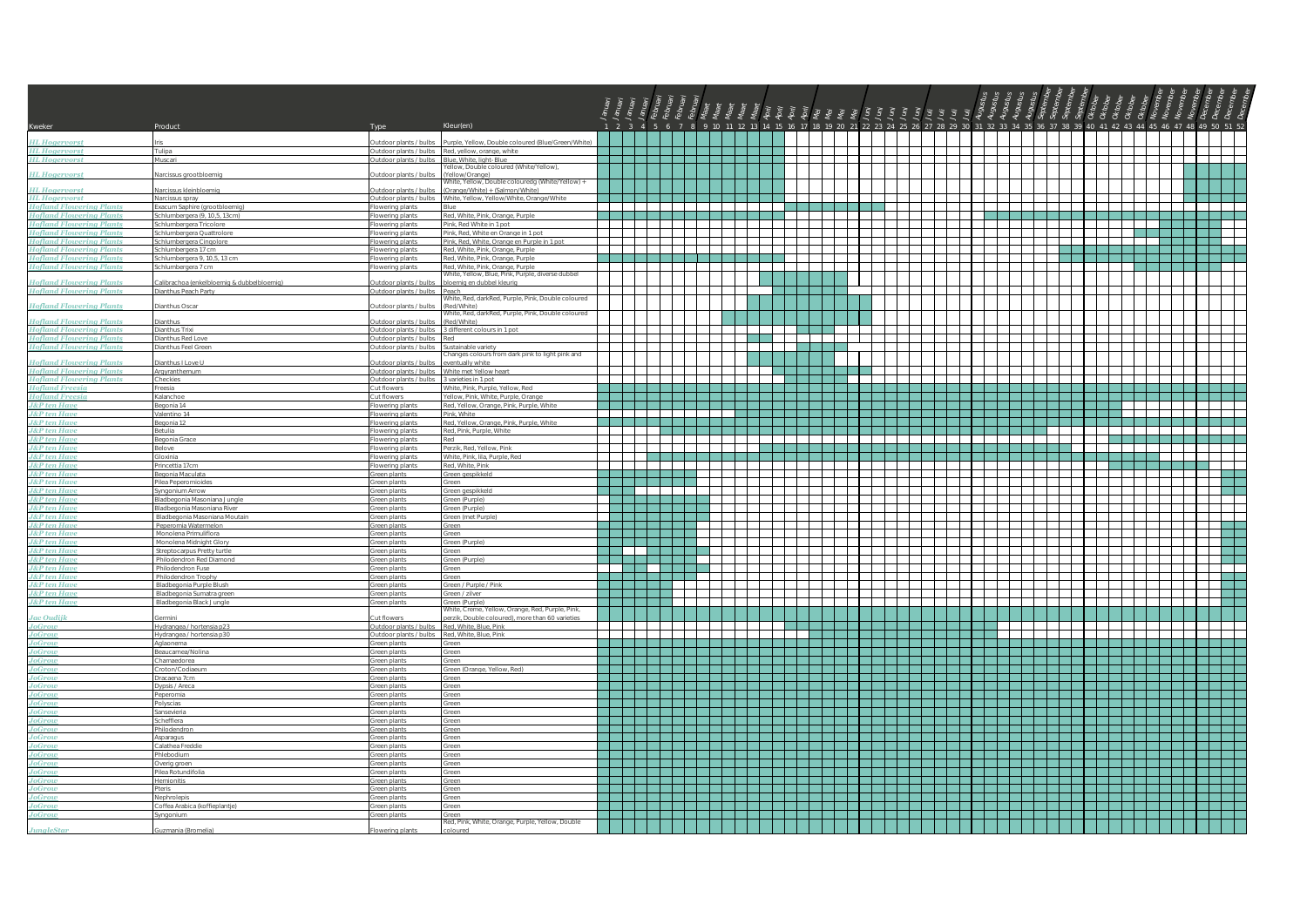| Kweker                                                             | Product                                                       | Type                                                                     | Kleur(en)                                                                      |                                        |                                                                                                                      |                                                                                                                       |               |                                                                                                                |                                     |              | 1 2 3 4 5 6 7 8 9 10 11 12 13 14 15 16 17 18 19 20 21 22 23 24 25 26 27 28 29 30 31 32 33 34 35 36 37 38 39 40 41 42 43 44 45 46 47 48 49 50 51 52 |              |                                |                                 |                                 |   |
|--------------------------------------------------------------------|---------------------------------------------------------------|--------------------------------------------------------------------------|--------------------------------------------------------------------------------|----------------------------------------|----------------------------------------------------------------------------------------------------------------------|-----------------------------------------------------------------------------------------------------------------------|---------------|----------------------------------------------------------------------------------------------------------------|-------------------------------------|--------------|----------------------------------------------------------------------------------------------------------------------------------------------------|--------------|--------------------------------|---------------------------------|---------------------------------|---|
| <b>HL Hogervorst</b>                                               |                                                               | utdoor plants / bulbs                                                    | Purple, Yellow, Double coloured (Blue/Green/White                              |                                        |                                                                                                                      |                                                                                                                       |               |                                                                                                                |                                     |              |                                                                                                                                                    |              |                                |                                 |                                 |   |
| <b>HL Hogervorst</b>                                               | Tulipa                                                        |                                                                          | Outdoor plants / bulbs Red, yellow, orange, white                              |                                        |                                                                                                                      |                                                                                                                       |               |                                                                                                                |                                     |              |                                                                                                                                                    |              |                                |                                 |                                 |   |
| <b>HL Hogervorst</b><br><b>HL Hogervorst</b>                       | Muscari<br>Narcissus grootbloemig                             | Outdoor plants / bulbs Blue, White, light-Blue<br>Outdoor plants / bulbs | ellow, Double coloured (White/Yellow),<br>(Yellow/Orange)                      |                                        |                                                                                                                      |                                                                                                                       |               |                                                                                                                |                                     |              |                                                                                                                                                    |              |                                |                                 |                                 |   |
|                                                                    |                                                               |                                                                          | White, Yellow, Double colouredg (White/Yellow) +                               |                                        |                                                                                                                      |                                                                                                                       |               |                                                                                                                |                                     |              |                                                                                                                                                    |              |                                |                                 |                                 |   |
| <b>HL Hogervorst</b>                                               | Varcissus kleinbloemig<br>Narcissus spray                     | Outdoor plants / bulbs                                                   | (Orange/White) + (Salmon/White)                                                |                                        |                                                                                                                      |                                                                                                                       |               |                                                                                                                |                                     |              |                                                                                                                                                    |              |                                |                                 |                                 |   |
| HL Hogervorst<br>Hofland Flowering Plants                          | xacum Saphire (grootbloemig)                                  | owering plants                                                           |                                                                                |                                        |                                                                                                                      |                                                                                                                       |               |                                                                                                                |                                     |              |                                                                                                                                                    |              |                                |                                 |                                 |   |
| <b>Hofland Flowering Plants</b><br><b>Hofland Flowering Plants</b> | Schlumbergera (9, 10,5, 13cm)<br>chlumbergera Tricolore       | Flowering plants<br>lowering plants                                      | Red, White, Pink, Orange, Purple.<br>Pink, Red White in 1 pot                  |                                        |                                                                                                                      | 1 - 1 - 1 - 1 - 1 - 1 - 1 - 1 - 1 -<br><u> 1950 - Jan Jan Jan Jan Jan Jan Jan</u>                                     |               | $\overline{\phantom{0}}$                                                                                       |                                     |              | a matamata                                                                                                                                         |              | a a sa san a sa                | TI TITLE                        | a kacamatan Ing<br>$\mathbf{1}$ |   |
| <b>Hofland Flowering Plants</b>                                    | chlumbergera Quattrolore                                      | lowering plants                                                          | Pink, Red, White en Orange in 1 pot                                            |                                        |                                                                                                                      |                                                                                                                       |               |                                                                                                                |                                     |              |                                                                                                                                                    |              |                                |                                 |                                 |   |
| <b>Hofland Flowering Plants</b>                                    | Schlumbergera Cinqolore                                       | Flowering plants                                                         | Pink, Red, White, Orange en Purple in 1 pot                                    |                                        |                                                                                                                      | ╺╂═╂═╂═╂═╂═╂═╂═╉═╉═╂═╂                                                                                                |               | $\sim$                                                                                                         |                                     |              |                                                                                                                                                    |              | <del>ाना सम्पा</del> ⊥         |                                 |                                 | ┱ |
| <b>Hofland Flowering Plants</b><br><b>Hofland Flowering Plants</b> | Schlumbergera 17 cm<br>chlumbergera 9, 10,5, 13 cm            | Flowering plants<br>Flowering plants                                     | Red, White, Pink, Orange, Purple<br>Red, White, Pink, Orange, Purple           |                                        |                                                                                                                      |                                                                                                                       |               |                                                                                                                |                                     |              |                                                                                                                                                    |              |                                |                                 |                                 |   |
| <b>Hofland Flowering Plants</b>                                    | chlumbergera 7 cm                                             | lowering plants                                                          | Red, White, Pink, Orange, Purple                                               |                                        | and the state of the state                                                                                           |                                                                                                                       |               |                                                                                                                |                                     |              |                                                                                                                                                    |              |                                |                                 |                                 |   |
| <b>Hofland Flowering Plants</b>                                    | calibrachoa (enkelbloemig & dubbelbloemig)                    | utdoor plants / bulbs                                                    | White, Yellow, Blue, Pink, Purple, diverse dubbel<br>bloemig en dubbel kleurig |                                        |                                                                                                                      |                                                                                                                       |               |                                                                                                                |                                     |              |                                                                                                                                                    |              |                                |                                 |                                 |   |
| <b>Hofland Flowering Plants</b>                                    | <b>Nanthus Peach Party</b>                                    | Outdoor plants / bulbs Peach                                             |                                                                                |                                        | <b>Contract</b>                                                                                                      |                                                                                                                       |               |                                                                                                                |                                     |              |                                                                                                                                                    |              |                                |                                 |                                 |   |
| <b>Hofland Flowering Plants</b>                                    | <b>Jianthus Oscar</b>                                         | utdoor plants / bulbs                                                    | White, Red, darkRed, Purple, Pink, Double coloured<br>(Red/White)              |                                        |                                                                                                                      |                                                                                                                       |               |                                                                                                                |                                     |              |                                                                                                                                                    |              |                                |                                 |                                 |   |
|                                                                    |                                                               |                                                                          | White, Red. darkRed, Purple, Pink, Double coloured                             |                                        |                                                                                                                      |                                                                                                                       |               |                                                                                                                |                                     |              |                                                                                                                                                    |              |                                |                                 |                                 |   |
| <b>Hofland Flowering Plants</b><br><b>Hofland Flowering Plants</b> | <b>Dianthus</b><br>Dianthus Trixi                             | Jutdoor plants / bulbs                                                   | (Red/White)<br>Outdoor plants / bulbs 3 different colours in 1 pot             |                                        |                                                                                                                      |                                                                                                                       |               |                                                                                                                |                                     |              |                                                                                                                                                    |              |                                |                                 |                                 |   |
| <b>Hofland Flowering Plants</b>                                    | <b>Dianthus Red Love</b>                                      | Outdoor plants / bulbs Red                                               |                                                                                |                                        |                                                                                                                      |                                                                                                                       |               |                                                                                                                |                                     |              |                                                                                                                                                    |              |                                |                                 |                                 |   |
| <b>Hofland Flowering Plants</b>                                    | Dianthus Feel Gre                                             | Outdoor plants / bulbs                                                   | Sustainable variety<br>Changes colours from dark pink to light pink and        |                                        |                                                                                                                      |                                                                                                                       |               |                                                                                                                |                                     |              |                                                                                                                                                    |              |                                |                                 |                                 |   |
| <b>Hofland Flowering Plants</b>                                    | lanthus I Love U                                              | utdoor plants / bulbs                                                    | wentually white                                                                |                                        |                                                                                                                      |                                                                                                                       |               |                                                                                                                |                                     |              |                                                                                                                                                    |              |                                |                                 |                                 |   |
| <b>Hofland Flowering Plants</b>                                    | Argvranthemum                                                 |                                                                          | Outdoor plants / bulbs White met Yellow heart                                  |                                        | $\blacksquare$                                                                                                       |                                                                                                                       |               | $\sim 100$                                                                                                     |                                     |              |                                                                                                                                                    |              |                                |                                 |                                 |   |
| <b>Hofland Flowering Plants</b><br><b>Hofland Freesia</b>          | Checkies<br>reesia                                            | Outdoor plants / bulbs<br>Cut flowers                                    | 3 varieties in 1 pot<br>White, Pink, Purple, Yellow, Red                       |                                        |                                                                                                                      |                                                                                                                       |               |                                                                                                                |                                     |              |                                                                                                                                                    |              |                                |                                 |                                 |   |
| <b>Hofland Freesia</b>                                             | Kalanchoe                                                     | Cut flowers                                                              | Yellow, Pink, White, Purple, Orange                                            |                                        |                                                                                                                      | <u> La Barbara de la Barbara de la Barbara de la Barbara de la Barbara de la Barbara de la Barbara de la Barbara </u> |               | an bahasa di sebagai sebagai sebagai sebagai sebagai sebagai sebagai sebagai sebagai sebagai sebagai sebagai s |                                     |              |                                                                                                                                                    |              |                                |                                 |                                 |   |
| <b>J&amp;P</b> ten Have                                            | Begonia 14                                                    | lowering plants                                                          | Red, Yellow, Orange, Pink, Purple, White<br>Pink White                         |                                        |                                                                                                                      |                                                                                                                       |               |                                                                                                                |                                     |              |                                                                                                                                                    |              | $\mathbf{L}$                   | $\mathbf{1}$                    |                                 |   |
| <u>J&amp;P ten Have</u>                                            | /alentino 14<br>legonia 12                                    | Flowering plants<br>owering plants                                       | Red, Yellow, Orange, Pink, Purple, White                                       |                                        | ------                                                                                                               |                                                                                                                       |               |                                                                                                                |                                     |              |                                                                                                                                                    |              |                                |                                 |                                 |   |
| J&P ten Have<br>J&P ten Have                                       | Betulia                                                       | Flowering plants                                                         | Red, Pink, Purple, White                                                       |                                        |                                                                                                                      |                                                                                                                       |               |                                                                                                                |                                     | an di Biblio |                                                                                                                                                    |              |                                |                                 |                                 |   |
| <b>J&amp;P</b> ten Have<br>J&P ten Have                            | legonia Grace<br>elove                                        | Flowering plants<br>lowering plants                                      | Red<br>Perzik, Red, Yellow, Pink                                               |                                        |                                                                                                                      |                                                                                                                       |               | المستحصل المستحصات                                                                                             |                                     |              |                                                                                                                                                    |              | TTT 1                          |                                 |                                 |   |
| <b>J&amp;P</b> ten Have                                            | Gloxinia                                                      | Flowering plants                                                         | White, Pink, Iila, Purple, Red                                                 |                                        |                                                                                                                      | a da babar da bata da kasa                                                                                            |               |                                                                                                                |                                     |              |                                                                                                                                                    | .            | a kata ing Pan                 |                                 | den en m                        |   |
| <b>J&amp;P</b> ten Have                                            | rincettia 17cm                                                | lowering plants                                                          | Red, White, Pink                                                               |                                        |                                                                                                                      | <u> La Carlo de la Carlo de la Carlo de la Carlo de la Carlo de la Carlo de la Carlo de la Carlo de la Carlo de l</u> |               | $\overline{\phantom{a}}$                                                                                       |                                     |              |                                                                                                                                                    |              |                                |                                 | and the state                   |   |
| <b>J&amp;P</b> ten Have<br><b>J&amp;P</b> ten Have                 | Begonia Maculata<br>Pilea Peperomioides                       | Green plants<br>Green plants                                             | Green gespikkeld<br>Green                                                      |                                        |                                                                                                                      |                                                                                                                       |               | $\sim$                                                                                                         |                                     |              |                                                                                                                                                    |              |                                |                                 |                                 |   |
| <b>J&amp;P</b> ten Have                                            | Syngonium Arrow                                               | Green plants                                                             | Green gespikkeld                                                               |                                        | <u> 1955 - 1955 - 1955 - 1955 - 1955 - 1955 - 1955 - 1955 - 1955 - 1955 - 1955 - 1955 - 1955 - 1955 - 1955 - 195</u> |                                                                                                                       |               |                                                                                                                |                                     |              |                                                                                                                                                    |              |                                |                                 |                                 |   |
| <b>J&amp;P</b> ten Have                                            | <b>Bladbegonia Masoniana Jungle</b>                           | Green plants                                                             | Green (Purple)                                                                 |                                        |                                                                                                                      |                                                                                                                       |               |                                                                                                                |                                     |              |                                                                                                                                                    |              |                                |                                 |                                 |   |
| <mark>J&amp;P ten Have</mark><br>J&P ten Have                      | Iladbegonia Masoniana Rive<br>Bladbegonia Masoniana Moutain   | Green plants<br>Green plants                                             | Green (Purple)<br>Green (met Purple)                                           | <u> La Salamanta de La Sala</u>        |                                                                                                                      |                                                                                                                       |               |                                                                                                                |                                     |              |                                                                                                                                                    |              |                                |                                 | $\overline{\phantom{a}}$        |   |
| <b>J&amp;P</b> ten Have                                            | Peperomia Watermelon                                          | ireen plants                                                             |                                                                                |                                        |                                                                                                                      |                                                                                                                       |               |                                                                                                                |                                     |              |                                                                                                                                                    |              |                                |                                 |                                 |   |
| <b>J&amp;P</b> ten Have<br><b>J&amp;P</b> ten Have                 | Monolena Primuliflora<br>Monolena Midnight Glory              | Green plants<br>Green plants                                             | Green<br>Green (Purple)                                                        |                                        |                                                                                                                      |                                                                                                                       |               | <b>Contract</b>                                                                                                | and the property of the contract of |              | $\Box$                                                                                                                                             |              | $\mathbf{1}$<br>$\blacksquare$ |                                 |                                 |   |
| <b>J&amp;P</b> ten Have                                            | Streptocarpus Pretty turtle                                   | Green plants                                                             | Green                                                                          |                                        |                                                                                                                      |                                                                                                                       |               |                                                                                                                |                                     |              |                                                                                                                                                    |              |                                |                                 |                                 |   |
| <u>J&amp;P ten Have</u>                                            | Philodendron Red Diamond                                      | Green plants                                                             | Green (Purple)                                                                 |                                        | . .                                                                                                                  |                                                                                                                       |               |                                                                                                                |                                     |              |                                                                                                                                                    |              |                                |                                 |                                 |   |
| <b>J&amp;P</b> ten Have<br><b>J&amp;P</b> ten Have                 | Philodendron Fuse<br>Philodendron Trophy                      | Green plants<br>Green plants                                             | Green<br>Green                                                                 |                                        | I I                                                                                                                  |                                                                                                                       |               |                                                                                                                |                                     |              |                                                                                                                                                    |              |                                |                                 |                                 |   |
| <b>J&amp;P</b> ten Have                                            | Bladbegonia Purple Blush                                      | Green plants                                                             | Green / Purple / Pink                                                          |                                        |                                                                                                                      |                                                                                                                       |               |                                                                                                                |                                     |              |                                                                                                                                                    |              |                                |                                 |                                 |   |
| <mark>J&amp;P ten Have</mark><br>J&P ten Have                      | <b>Sladbegonia Sumatra green</b><br>Bladhegonia Black, Jungle | ireen plants                                                             | Green / zilver                                                                 |                                        | mm –                                                                                                                 |                                                                                                                       |               |                                                                                                                |                                     |              |                                                                                                                                                    |              | ┽┽┽┽                           |                                 |                                 |   |
|                                                                    |                                                               | Green plants                                                             | Green (Purple)<br>White, Creme, Yellow, Orange, Red, Purple, Pink,             |                                        |                                                                                                                      |                                                                                                                       |               |                                                                                                                |                                     |              |                                                                                                                                                    |              |                                |                                 |                                 |   |
| <b>Jac Oudijk</b>                                                  | ermini<br>Hydrangea / hortensia p23                           | ut flowers<br>Outdoor plants / bulbs                                     | perzik. Double coloured), more than 60 varieties<br>Red, White, Blue, Pink     |                                        |                                                                                                                      |                                                                                                                       | and the state |                                                                                                                |                                     |              | $\mathbf{1}$                                                                                                                                       | $\mathbf{1}$ |                                | and the property of the control |                                 |   |
| JoGrow<br>JoGrow                                                   | Hydrangea / hortensia p30                                     | Outdoor plants / bulbs                                                   | Red White Blue Pink                                                            |                                        |                                                                                                                      |                                                                                                                       |               |                                                                                                                |                                     |              |                                                                                                                                                    |              |                                |                                 |                                 |   |
| <b>JoGrow</b>                                                      | Aglaonema                                                     | Green plants                                                             | Green                                                                          |                                        |                                                                                                                      |                                                                                                                       |               |                                                                                                                |                                     |              |                                                                                                                                                    |              |                                |                                 |                                 |   |
| JoGrow<br>JoGrow                                                   | Beaucarnea/Nolina<br>Chamaedorea                              | Green plants<br>Green plants                                             | Green<br>Green                                                                 |                                        |                                                                                                                      |                                                                                                                       |               |                                                                                                                |                                     |              |                                                                                                                                                    |              |                                |                                 |                                 |   |
| JoGrow                                                             | Croton/Codiaeur                                               | ireen plants                                                             | Green (Orange, Yellow, Red)                                                    |                                        |                                                                                                                      |                                                                                                                       |               |                                                                                                                |                                     |              |                                                                                                                                                    |              |                                |                                 |                                 |   |
| JoGrow                                                             | Dracaena 7cm                                                  | Green plants                                                             | Green                                                                          | an an Dùbhlachadh an 1960. Tha bhliain |                                                                                                                      |                                                                                                                       |               |                                                                                                                |                                     |              |                                                                                                                                                    |              | an di Tanzania                 |                                 |                                 |   |
| JoGrow<br>JoGrow                                                   | Dypsis / Areca<br>Peperomia                                   | Green plants<br>Green plants                                             | Green<br>Green                                                                 |                                        |                                                                                                                      |                                                                                                                       |               |                                                                                                                |                                     |              |                                                                                                                                                    |              |                                |                                 |                                 |   |
| JoGrow<br>JoGrow                                                   | Polyscias                                                     | Green plants                                                             | Green                                                                          |                                        | an di Sula                                                                                                           |                                                                                                                       |               | a dheer ah ah dhacaala ah dhacaala ah dhacaala ah dhacaala ah dhacaala ah dhacaala ah dhacaala ah dhacaala ah  |                                     |              |                                                                                                                                                    |              |                                |                                 |                                 |   |
|                                                                    | iansevieria<br>chefflera                                      | Green plants                                                             | Green                                                                          |                                        |                                                                                                                      |                                                                                                                       |               |                                                                                                                |                                     |              |                                                                                                                                                    |              |                                |                                 |                                 |   |
| JoGrow                                                             | Philodendron                                                  | Green plants<br>Green plants                                             | Green<br>Green                                                                 |                                        |                                                                                                                      |                                                                                                                       |               |                                                                                                                |                                     |              |                                                                                                                                                    |              | a katika Ma                    |                                 |                                 |   |
| JoGrow<br>JoGrow                                                   | Asparagus                                                     | Sreen plants                                                             | Green                                                                          |                                        |                                                                                                                      |                                                                                                                       |               |                                                                                                                |                                     |              |                                                                                                                                                    |              |                                |                                 |                                 |   |
| JoGrow                                                             | Calathea Freddi<br>Phlebodium                                 | ireen plants<br>ireen plants                                             | Green<br>Green                                                                 |                                        |                                                                                                                      |                                                                                                                       |               |                                                                                                                |                                     |              |                                                                                                                                                    |              |                                |                                 |                                 |   |
| <b>JoGrow</b>                                                      | Overig groen                                                  | Green plants                                                             | Green                                                                          | .                                      |                                                                                                                      |                                                                                                                       |               |                                                                                                                |                                     |              |                                                                                                                                                    |              | .                              |                                 |                                 |   |
| JoGrow                                                             | llea Rotundifolia                                             | Green plants                                                             | Green                                                                          |                                        |                                                                                                                      |                                                                                                                       |               |                                                                                                                |                                     |              |                                                                                                                                                    |              |                                |                                 |                                 |   |
| JoGrow<br><b>JoGrow</b>                                            | <b>Iemionitis</b><br>Pteris                                   | Green plants<br>Green plants                                             | Green<br>Green                                                                 |                                        |                                                                                                                      |                                                                                                                       |               |                                                                                                                |                                     |              |                                                                                                                                                    |              |                                |                                 |                                 |   |
| JoGrow                                                             | Nephrolepis                                                   | Green plants                                                             | Green                                                                          |                                        |                                                                                                                      |                                                                                                                       |               |                                                                                                                |                                     |              |                                                                                                                                                    |              |                                |                                 |                                 |   |
| JoGrow<br>JoGrow                                                   | Coffea Arabica (koffieplantie)<br>vnaonium                    | Green plants<br>ireen plants                                             | Green                                                                          |                                        |                                                                                                                      |                                                                                                                       |               |                                                                                                                |                                     |              |                                                                                                                                                    |              |                                |                                 |                                 |   |
|                                                                    |                                                               |                                                                          | Red, Pink, White, Orange, Purple, Yellow, Double                               |                                        |                                                                                                                      |                                                                                                                       |               |                                                                                                                |                                     |              |                                                                                                                                                    |              |                                |                                 |                                 |   |
| <b>JungleStar</b>                                                  | mania (Bromelia                                               |                                                                          | ploured                                                                        |                                        |                                                                                                                      |                                                                                                                       |               |                                                                                                                |                                     |              |                                                                                                                                                    |              |                                |                                 |                                 |   |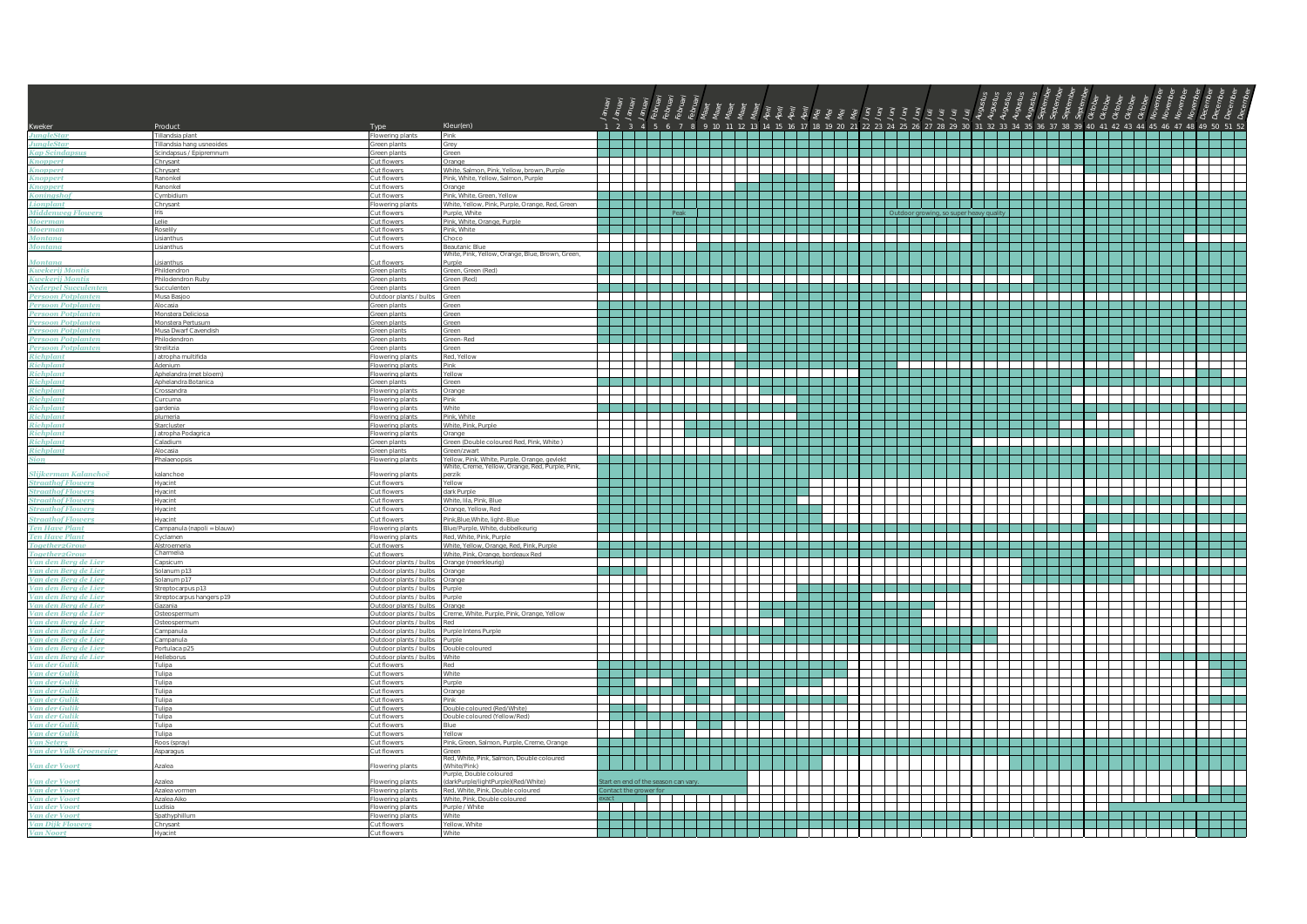| Kweker                                               | Product                                      | Type                                             | Kleur(en)                                                                                       |                          |                                                                                                                                                                                                                                                                                                                                                                                                        |                                                                                                               |                                                                                                                                                                                                                                |                                           |                                                                                                                |                              |                                                   |                                            |                            |                                                                                                                      |              |                                                                                                                  |
|------------------------------------------------------|----------------------------------------------|--------------------------------------------------|-------------------------------------------------------------------------------------------------|--------------------------|--------------------------------------------------------------------------------------------------------------------------------------------------------------------------------------------------------------------------------------------------------------------------------------------------------------------------------------------------------------------------------------------------------|---------------------------------------------------------------------------------------------------------------|--------------------------------------------------------------------------------------------------------------------------------------------------------------------------------------------------------------------------------|-------------------------------------------|----------------------------------------------------------------------------------------------------------------|------------------------------|---------------------------------------------------|--------------------------------------------|----------------------------|----------------------------------------------------------------------------------------------------------------------|--------------|------------------------------------------------------------------------------------------------------------------|
| <b>JunaleStar</b><br><b>JungleStar</b>               | illandsia plant<br>'illandsia hang usneoides | wering plants<br>ireen plants                    | Grey                                                                                            |                          |                                                                                                                                                                                                                                                                                                                                                                                                        |                                                                                                               |                                                                                                                                                                                                                                |                                           |                                                                                                                |                              |                                                   |                                            |                            |                                                                                                                      |              |                                                                                                                  |
| <b>Kap Scindapsus</b>                                | Scindapsus / Epipremnum                      | Green plants                                     | Green.                                                                                          |                          |                                                                                                                                                                                                                                                                                                                                                                                                        |                                                                                                               |                                                                                                                                                                                                                                |                                           |                                                                                                                |                              |                                                   |                                            |                            |                                                                                                                      |              |                                                                                                                  |
| <b>Knoppert</b>                                      | Chrysant                                     | Cut flowers                                      | <b>Orange</b>                                                                                   | an di Tanzania           | an di T                                                                                                                                                                                                                                                                                                                                                                                                | .<br>T                                                                                                        | $\mathbf{1}$                                                                                                                                                                                                                   | $\mathcal{L}$<br>$\overline{\phantom{0}}$ | ---<br>$\mathbf{I}$<br>an di Tinggara da San Tanzania.<br>Tanzania                                             | $\overline{\phantom{0}}$     | and the property of the control<br>an di Tanzania |                                            |                            |                                                                                                                      |              | .                                                                                                                |
| <b>Knoppert</b><br>Knoppert                          | Chrysant<br>Ranonkel                         | Cut flowers<br>Cut flowers                       | White, Salmon, Pink, Yellow, brown, Purple<br>Pink, White, Yellow, Salmon, Purple               |                          |                                                                                                                                                                                                                                                                                                                                                                                                        |                                                                                                               |                                                                                                                                                                                                                                |                                           |                                                                                                                |                              |                                                   |                                            |                            |                                                                                                                      |              |                                                                                                                  |
| Knoppert                                             | Ranonkel                                     | ut flowers                                       | )range                                                                                          |                          |                                                                                                                                                                                                                                                                                                                                                                                                        |                                                                                                               |                                                                                                                                                                                                                                |                                           | $\overline{\phantom{a}}$                                                                                       |                              |                                                   |                                            |                            |                                                                                                                      |              |                                                                                                                  |
| Koningshof                                           | Cymbidium                                    | <b>Cut flowers</b>                               | Pink White Green Yellow                                                                         |                          | 3 2 3 3 3 3 3 3 4 3                                                                                                                                                                                                                                                                                                                                                                                    | a kacamatan ing Kabupatén Ing Kabupatén Ing Kabupatén Ing Kabupatén Ing Kabupatén Ing Kabupatén Ing Kabupatén |                                                                                                                                                                                                                                | a populati                                |                                                                                                                | TI TI TI T                   | a da babar 1991 da ya gar                         |                                            |                            | a katika Manazarta (                                                                                                 |              |                                                                                                                  |
| Lionplant<br><b>Middenweg Flowers</b>                | Chrysant                                     | lowering plant:<br>Cut flowers                   | /hite, Yellow, Pink, Purple, Orange, Red, Green<br>Purple, White                                |                          | <u> Maria Maria I</u>                                                                                                                                                                                                                                                                                                                                                                                  |                                                                                                               |                                                                                                                                                                                                                                |                                           | <u> Alexandria de la p</u>                                                                                     |                              |                                                   |                                            |                            |                                                                                                                      |              |                                                                                                                  |
| Moerman                                              | elle                                         | Cut flowers                                      | Pink White Orange Purple                                                                        |                          | <u> 1999 - 1999 - 1999 - 1999 - 1999 - 1999 - 1999 - 1999 - 1999 - 1999 - 1999 - 1999 - 1999 - 1999 - 1999 - 199</u>                                                                                                                                                                                                                                                                                   |                                                                                                               |                                                                                                                                                                                                                                |                                           |                                                                                                                |                              |                                                   | and the state of the state                 |                            | a katika Manazarta                                                                                                   |              | and the contract of the contract of                                                                              |
| Moerman                                              | Roselily                                     | Cut flowers                                      | Pink, White                                                                                     | and the state            | .                                                                                                                                                                                                                                                                                                                                                                                                      |                                                                                                               |                                                                                                                                                                                                                                |                                           | .                                                                                                              |                              |                                                   |                                            |                            |                                                                                                                      |              |                                                                                                                  |
| <b>Montana</b><br><b>Montana</b>                     | <b>isianthus</b><br>isianthus                | ut flowers<br><b>Cut flowers</b>                 | Choco<br>Beautanic Blue                                                                         |                          | ┽┽┽┽┽┽┽                                                                                                                                                                                                                                                                                                                                                                                                |                                                                                                               |                                                                                                                                                                                                                                | T                                         | $\overline{\phantom{a}}$                                                                                       |                              |                                                   |                                            |                            |                                                                                                                      |              |                                                                                                                  |
|                                                      |                                              |                                                  | White, Pink, Yellow, Orange, Blue, Brown, Green,                                                |                          |                                                                                                                                                                                                                                                                                                                                                                                                        |                                                                                                               |                                                                                                                                                                                                                                |                                           |                                                                                                                |                              |                                                   |                                            |                            |                                                                                                                      |              |                                                                                                                  |
| <b>Montana</b><br><b>Kwekerij Montis</b>             | sianthus                                     | ut flowers                                       | urple                                                                                           |                          |                                                                                                                                                                                                                                                                                                                                                                                                        |                                                                                                               |                                                                                                                                                                                                                                |                                           |                                                                                                                |                              |                                                   |                                            |                            |                                                                                                                      |              |                                                                                                                  |
| Kwekerij Montis                                      | Phildendron<br>Philodendron Rub              | Green plants<br>ireen plants                     | Green, Green (Red)<br>reen (Red)                                                                |                          | $\overline{\phantom{a}}$ . The set of $\overline{\phantom{a}}$                                                                                                                                                                                                                                                                                                                                         | and the property of the control                                                                               | $\overline{\phantom{a}}$                                                                                                                                                                                                       | — — —                                     | الطاطب                                                                                                         |                              |                                                   |                                            |                            |                                                                                                                      |              |                                                                                                                  |
|                                                      | ucculenten                                   | reen plants                                      | een                                                                                             |                          |                                                                                                                                                                                                                                                                                                                                                                                                        |                                                                                                               |                                                                                                                                                                                                                                |                                           |                                                                                                                |                              |                                                   |                                            |                            |                                                                                                                      |              |                                                                                                                  |
| Persoon Potplanten                                   | Musa Basioo                                  | Outdoor plants / bulbs                           | reen                                                                                            |                          |                                                                                                                                                                                                                                                                                                                                                                                                        |                                                                                                               |                                                                                                                                                                                                                                |                                           |                                                                                                                | and the second series        |                                                   |                                            |                            |                                                                                                                      |              | and the first part of the first                                                                                  |
| Persoon Potplanten<br>Persoon Potplanten             | Alocasia<br>Monstera Deliciosa               | Green plants<br>reen plants                      | reen<br>reen                                                                                    |                          |                                                                                                                                                                                                                                                                                                                                                                                                        |                                                                                                               |                                                                                                                                                                                                                                |                                           |                                                                                                                |                              |                                                   |                                            |                            |                                                                                                                      |              |                                                                                                                  |
| Persoon Potplanten                                   | Monstera Pertusum                            | Green plants                                     | Green -                                                                                         |                          | <u> 1969 - 1969 - 1969 - 19</u>                                                                                                                                                                                                                                                                                                                                                                        |                                                                                                               |                                                                                                                                                                                                                                | a katika Indonesia.                       | <u> El Estado de la C</u>                                                                                      | and the state of the state   |                                                   | <u> Islam i Sa</u>                         |                            | a da bain da bain                                                                                                    |              |                                                                                                                  |
| Persoon Potplanten                                   | Musa Dwarf Cavendish                         | ireen plants                                     | Sreen                                                                                           |                          |                                                                                                                                                                                                                                                                                                                                                                                                        |                                                                                                               |                                                                                                                                                                                                                                |                                           |                                                                                                                |                              |                                                   |                                            |                            |                                                                                                                      |              |                                                                                                                  |
| <b>Persoon Potplanten</b>                            | Philodendron                                 | Green plants                                     | Green-Red                                                                                       |                          |                                                                                                                                                                                                                                                                                                                                                                                                        | __ <del>________</del>                                                                                        |                                                                                                                                                                                                                                |                                           | a da bar bar                                                                                                   |                              |                                                   |                                            |                            | a da bin bar                                                                                                         |              |                                                                                                                  |
| <b>Persoon Potplanten</b><br><b>Richplant</b>        | strelitzia<br>Jatropha multifida             | Green plants<br>lowering plants                  | reen<br>ed, Yellow                                                                              | $\overline{\phantom{a}}$ | <u>a sa Barata</u>                                                                                                                                                                                                                                                                                                                                                                                     |                                                                                                               |                                                                                                                                                                                                                                |                                           |                                                                                                                |                              |                                                   |                                            |                            |                                                                                                                      |              |                                                                                                                  |
| Richplant                                            | Adenium                                      | lowering plants                                  | ink                                                                                             |                          | ┽┽                                                                                                                                                                                                                                                                                                                                                                                                     |                                                                                                               |                                                                                                                                                                                                                                |                                           |                                                                                                                |                              |                                                   |                                            |                            |                                                                                                                      |              |                                                                                                                  |
| Richplant                                            | Aphelandra (met bloem)                       | lowering plants                                  | wolls                                                                                           |                          | n in in in in in in in in in in                                                                                                                                                                                                                                                                                                                                                                        |                                                                                                               | $\overline{\phantom{a}}$                                                                                                                                                                                                       | and the property of the control           |                                                                                                                |                              |                                                   |                                            |                            | n a shekara ta 1960 a Gab                                                                                            |              |                                                                                                                  |
| <b>Richplant</b><br><b>Richplant</b>                 | Aphelandra Botanica<br>Crossandra            | Green plants<br>Flowering plants                 | reen<br><b>Orange</b>                                                                           |                          |                                                                                                                                                                                                                                                                                                                                                                                                        |                                                                                                               |                                                                                                                                                                                                                                |                                           |                                                                                                                | . .                          |                                                   |                                            |                            |                                                                                                                      |              |                                                                                                                  |
| <b>Richplant</b>                                     | Curcuma                                      | lowering plants                                  |                                                                                                 |                          | <del>┪┪┪╋╋╋╋╋╋╋╋╋</del> ╋                                                                                                                                                                                                                                                                                                                                                                              |                                                                                                               |                                                                                                                                                                                                                                |                                           |                                                                                                                |                              |                                                   |                                            |                            | ╶╫╌┥┥╌╂╌╂                                                                                                            |              | ╾╉╾╉╾╉╾╉╾╉╾                                                                                                      |
| Richplant                                            | gardenia                                     | Flowering plants                                 | <b>Nhite</b>                                                                                    |                          |                                                                                                                                                                                                                                                                                                                                                                                                        |                                                                                                               |                                                                                                                                                                                                                                |                                           |                                                                                                                |                              |                                                   | <u> Islam Sa</u>                           |                            |                                                                                                                      |              | a kata ing Kabupatèn Kabupatén Ing Kabupatén Ing Kabupatén Kabupatén Ing Kabupatén Kabupatén Kabupatén Kabupatén |
| Richplant<br>Richplant                               | olumeria<br>Starcluster                      | lowering plants<br>Flowering plants              | ink. White<br>Vhite, Pink, Purple                                                               |                          |                                                                                                                                                                                                                                                                                                                                                                                                        |                                                                                                               |                                                                                                                                                                                                                                |                                           | - 11                                                                                                           |                              |                                                   |                                            |                            | <u> 2000 - 2000 - 2000 - 2000 - 2000 - 2000 - 2000 - 2000 - 2000 - 2000 - 2000 - 2000 - 2000 - 2000 - 2000 - 200</u> |              |                                                                                                                  |
| <b>Richplant</b>                                     | Jatropha Podagrio                            | Flowering plants                                 | <b>Orange</b>                                                                                   |                          | a kata shekarar<br><u> Hermini</u>                                                                                                                                                                                                                                                                                                                                                                     |                                                                                                               |                                                                                                                                                                                                                                |                                           | a de la contrata del contrata del contrata del contrata del contrata del contrata del contrata del contrata de |                              | a de la facta de la ca                            | Tito e con                                 |                            | TI TITLET                                                                                                            |              |                                                                                                                  |
| <b>Richplant</b>                                     | Caladium                                     | Green plants                                     | Green (Double coloured Red, Pink, White)                                                        |                          |                                                                                                                                                                                                                                                                                                                                                                                                        |                                                                                                               |                                                                                                                                                                                                                                |                                           |                                                                                                                |                              | $\mathbf{1}$                                      | <b>Contract Contract Contract Contract</b> |                            |                                                                                                                      |              |                                                                                                                  |
| <b>Richplant</b>                                     | Alocasia                                     | Green plants                                     | reen/zwart                                                                                      |                          |                                                                                                                                                                                                                                                                                                                                                                                                        |                                                                                                               |                                                                                                                                                                                                                                |                                           |                                                                                                                |                              |                                                   |                                            | a shekara                  |                                                                                                                      |              |                                                                                                                  |
| <b>Sion</b>                                          | Phalaenops                                   | lowering plants                                  | ellow, Pink, White, Purple, Orange, gevlekt<br>Vhite, Creme, Yellow, Orange, Red, Purple, Pink, |                          |                                                                                                                                                                                                                                                                                                                                                                                                        |                                                                                                               |                                                                                                                                                                                                                                |                                           |                                                                                                                |                              |                                                   |                                            |                            |                                                                                                                      |              |                                                                                                                  |
| Slijkerman Kalanchoë                                 | alanchoe                                     | owering plants                                   | erzik                                                                                           |                          |                                                                                                                                                                                                                                                                                                                                                                                                        |                                                                                                               |                                                                                                                                                                                                                                |                                           |                                                                                                                |                              |                                                   |                                            |                            |                                                                                                                      |              |                                                                                                                  |
| <b>Straathof Flowers</b>                             | Hyacint<br>Hyacint                           | Cut flowers<br>Cut flowers                       | Yellow<br>dark Purple                                                                           |                          | - 1919                                                                                                                                                                                                                                                                                                                                                                                                 |                                                                                                               |                                                                                                                                                                                                                                | $\mathbf{1}$                              |                                                                                                                | an di Tanzania               |                                                   |                                            | and the state of the state |                                                                                                                      |              |                                                                                                                  |
| <b>Straathof Flowers</b><br><b>Straathof Flowers</b> | Hyacint                                      | Cut flowers                                      | White, Iila, Pink, Blue                                                                         |                          |                                                                                                                                                                                                                                                                                                                                                                                                        |                                                                                                               |                                                                                                                                                                                                                                |                                           |                                                                                                                |                              |                                                   |                                            |                            |                                                                                                                      |              |                                                                                                                  |
| <b>Straathof Flowers</b>                             | Hyacint                                      | <b>Cut flowers</b>                               | Orange, Yellow, Red                                                                             |                          | a kata ing Kabupatèn Kabupatèn Kabupatèn Kabupatèn Kabupatèn Kabupatèn Kabupatèn Kabupatèn Kabupatèn Kabupatèn                                                                                                                                                                                                                                                                                         |                                                                                                               |                                                                                                                                                                                                                                |                                           |                                                                                                                |                              |                                                   |                                            |                            |                                                                                                                      |              |                                                                                                                  |
| <b>Straathof Flowers</b>                             | <b>lyacint</b>                               | ut flowers                                       | Pink,Blue,White, light-Blue                                                                     |                          |                                                                                                                                                                                                                                                                                                                                                                                                        |                                                                                                               |                                                                                                                                                                                                                                |                                           |                                                                                                                |                              | $\mathbf{1}$                                      |                                            |                            |                                                                                                                      |              |                                                                                                                  |
| <b>Ten Have Plant</b>                                | Campanula (napoli = blauw)<br>Cyclamen       | Flowering plants                                 | Blue/Purple, White, dubbelkeurig<br>ted White Pink Purnle                                       |                          | .                                                                                                                                                                                                                                                                                                                                                                                                      |                                                                                                               |                                                                                                                                                                                                                                |                                           |                                                                                                                |                              |                                                   |                                            |                            |                                                                                                                      |              | .                                                                                                                |
| <u>Ten Have Plant</u><br>Together2Grow               | Alstroemeria                                 | lowering plants<br>Cut flowers                   | Vhite, Yellow, Orange, Red, Pink, Purple                                                        |                          | ╅                                                                                                                                                                                                                                                                                                                                                                                                      |                                                                                                               |                                                                                                                                                                                                                                |                                           | $\overline{\phantom{a}}$                                                                                       |                              |                                                   |                                            | ┽┉╫┉                       |                                                                                                                      |              |                                                                                                                  |
| Together2Grow                                        | Charmelia                                    | Cut flowers                                      | White, Pink, Orange, bordeaux Red                                                               |                          | .                                                                                                                                                                                                                                                                                                                                                                                                      | a di Ba                                                                                                       | an an                                                                                                                                                                                                                          | - 19                                      |                                                                                                                | and a strong                 | a katika Indonesia                                |                                            | and the state              |                                                                                                                      |              |                                                                                                                  |
| Van den Berg de Lier                                 | Capsicum                                     | Outdoor plants / bulbs                           | Orange (meerkleurig)                                                                            |                          | ╅┪┪                                                                                                                                                                                                                                                                                                                                                                                                    | ┽┽┽                                                                                                           | ┿┿                                                                                                                                                                                                                             | $\overline{\phantom{0}}$                  |                                                                                                                | ┼┼                           |                                                   |                                            |                            |                                                                                                                      | $\mathbf{1}$ |                                                                                                                  |
| Van den Berg de Lier<br>Van den Berg de Lier         | iolanum p13<br>Solanum p17                   | Jutdoor plants / bulbs<br>Outdoor plants / bulbs | Orange<br>range                                                                                 |                          | an di Tanzania<br>$\overline{\phantom{0}}$                                                                                                                                                                                                                                                                                                                                                             |                                                                                                               | an sa tsa an sa                                                                                                                                                                                                                | <u>a masa</u>                             | an di sebagai sebagai sebagai sebagai sebagai sebagai sebagai sebagai sebagai sebagai sebagai sebagai sebagai  |                              | an di Tanzania                                    | .                                          | a da bar                   |                                                                                                                      |              |                                                                                                                  |
| Van den Berg de Lier                                 | Streptocarpus p13                            | Jutdoor plants / bulbs                           | urple                                                                                           |                          |                                                                                                                                                                                                                                                                                                                                                                                                        |                                                                                                               |                                                                                                                                                                                                                                |                                           |                                                                                                                |                              | $\overline{\phantom{a}}$                          | $\overline{\phantom{a}}$                   |                            | $\begin{tabular}{c} \top \end{tabular}$                                                                              |              |                                                                                                                  |
| Van den Berg de Lier                                 | streptocarpus hangers p19                    | Jutdoor plants / bulbs                           | urple                                                                                           |                          |                                                                                                                                                                                                                                                                                                                                                                                                        |                                                                                                               |                                                                                                                                                                                                                                |                                           | 7 H H H H<br>- 11                                                                                              |                              |                                                   |                                            |                            |                                                                                                                      |              |                                                                                                                  |
| Van den Berg de Lier<br>Van den Berg de Lier         | Gazania<br>Osteospermum                      | Outdoor plants / bulbs<br>Outdoor plants / bulbs | Drange<br>Creme, White, Purple, Pink, Orange, Yellow                                            |                          | <u>a matsa</u><br>$\overline{\phantom{a}}$                                                                                                                                                                                                                                                                                                                                                             | T 1 1 1<br><b>The Contract State</b>                                                                          |                                                                                                                                                                                                                                |                                           |                                                                                                                | <u> Timo</u><br>$\mathbf{1}$ | TI TITLE<br>$\mathbf{1}$                          |                                            |                            | $\sim 10^{-1}$<br>┬⊥                                                                                                 | $\mathbf{I}$ | an di Tanzania                                                                                                   |
| <u>Van den Berg de Lier</u>                          | Osteospermum                                 | Jutdoor plants / bulbs                           |                                                                                                 |                          |                                                                                                                                                                                                                                                                                                                                                                                                        |                                                                                                               |                                                                                                                                                                                                                                |                                           |                                                                                                                |                              |                                                   |                                            |                            |                                                                                                                      |              |                                                                                                                  |
| Van den Berg de Lier                                 | Campanula                                    | Jutdoor plants / bulbs                           | urple Intens Purple                                                                             |                          | $\color{red}$ $\color{red}$ $\color{red}$ $\color{red}$ $\color{red}$ $\color{red}$ $\color{red}$ $\color{red}$ $\color{red}$ $\color{red}$ $\color{red}$ $\color{red}$ $\color{red}$ $\color{red}$ $\color{red}$ $\color{red}$ $\color{red}$ $\color{red}$ $\color{red}$ $\color{red}$ $\color{red}$ $\color{red}$ $\color{red}$ $\color{red}$ $\color{red}$ $\color{red}$ $\color{red}$ $\color{red$ |                                                                                                               |                                                                                                                                                                                                                                |                                           | a katika Manazarta                                                                                             |                              | $\pm$                                             |                                            |                            | T                                                                                                                    |              |                                                                                                                  |
| Van den Berg de Lier                                 | Campanula                                    | Outdoor plants / bulbs                           | urple                                                                                           |                          |                                                                                                                                                                                                                                                                                                                                                                                                        | a da bar                                                                                                      |                                                                                                                                                                                                                                |                                           |                                                                                                                |                              | $\overline{\phantom{0}}$                          |                                            |                            |                                                                                                                      |              |                                                                                                                  |
| Van den Berg de Lier<br>Van den Berg de Lier         | Portulaca p25<br>Helleborus                  | Outdoor plants / bulbs<br>Outdoor plants / bulbs | Double coloured<br>hite                                                                         |                          |                                                                                                                                                                                                                                                                                                                                                                                                        | $\overline{\phantom{a}}$<br>$\mathbf{1}$                                                                      | $\overline{\phantom{a}}$<br>$\mathbf{1}$                                                                                                                                                                                       | $\overline{\phantom{a}}$                  |                                                                                                                |                              | —<br>———                                          |                                            |                            | and the property of the control                                                                                      |              | .                                                                                                                |
| Van der Gulik                                        | Tulina                                       | <b>Cut flowers</b>                               |                                                                                                 |                          | alah dan bahasa dan bahasa dan bahasa dan bahasa dan bahasa dan bahasa dan ba                                                                                                                                                                                                                                                                                                                          |                                                                                                               | a di Santa B                                                                                                                                                                                                                   | a kacamatan ing Kabupatèn Kabupatèn       | ───────                                                                                                        | $\overline{\phantom{a}}$     |                                                   |                                            |                            | $\pm$                                                                                                                |              |                                                                                                                  |
| Van der Gulik                                        | <b>Fulipa</b>                                | Cut flowers                                      | Vhite                                                                                           |                          | a katika m                                                                                                                                                                                                                                                                                                                                                                                             |                                                                                                               |                                                                                                                                                                                                                                |                                           |                                                                                                                |                              |                                                   |                                            |                            |                                                                                                                      |              |                                                                                                                  |
| Van der Gulik<br>Van der Gulik                       | <b>Fulipa</b><br>Tulipa                      | ut flowers<br>Cut flowers                        | Purple<br><b>Orange</b>                                                                         |                          | a a shi a ta a ta an an san an san an s                                                                                                                                                                                                                                                                                                                                                                |                                                                                                               |                                                                                                                                                                                                                                | $\! \!+\!$                                | a da bar                                                                                                       | TT                           | ┱┪╾┪╾┪╾                                           |                                            |                            | ╅┪                                                                                                                   |              | and a strong strong                                                                                              |
| Van der Gulik                                        | <b>Tulipa</b>                                | Cut flowers                                      |                                                                                                 |                          | an di Tanzania<br><b>The Common</b>                                                                                                                                                                                                                                                                                                                                                                    | and the property                                                                                              |                                                                                                                                                                                                                                |                                           |                                                                                                                |                              |                                                   |                                            |                            |                                                                                                                      |              |                                                                                                                  |
| Van der Gulik                                        | <b>Fulipa</b>                                | <b>Cut flowers</b>                               | Oouble coloured (Red/White)                                                                     |                          |                                                                                                                                                                                                                                                                                                                                                                                                        |                                                                                                               | $\boxplus$                                                                                                                                                                                                                     |                                           |                                                                                                                |                              |                                                   |                                            |                            |                                                                                                                      |              |                                                                                                                  |
| Van der Gulik<br>Van der Gulik                       | Tulipa<br>Tulipa                             | Cut flowers<br>Cut flowers                       | Oouble coloured (Yellow/Red)                                                                    |                          | <u> 1950 - 1950 - 1950 - 1950 - 1950 - 1950 - 1950 - 1950 - 1950 - 1950 - 1950 - 1950 - 1950 - 1950 - 1950 - 195</u>                                                                                                                                                                                                                                                                                   |                                                                                                               | and the second second second second second second second second second second second second second second second second second second second second second second second second second second second second second second seco |                                           | an di Tanzania                                                                                                 | $\Box$                       | $\overline{\phantom{a}}$<br>T T T                 |                                            |                            | <u>a shekara ta 1991 kasa</u>                                                                                        | T            | a da bar                                                                                                         |
| Van der Gulik                                        | <b>Fulipa</b>                                | cut flowers                                      | ellow                                                                                           |                          |                                                                                                                                                                                                                                                                                                                                                                                                        |                                                                                                               |                                                                                                                                                                                                                                |                                           |                                                                                                                |                              |                                                   |                                            |                            |                                                                                                                      |              |                                                                                                                  |
| <b>Van Seters</b>                                    | Roos (spray)                                 | ut flowers                                       | ink, Green, Salmon, Purple, Creme, Orange                                                       |                          | 33 S S                                                                                                                                                                                                                                                                                                                                                                                                 |                                                                                                               |                                                                                                                                                                                                                                |                                           |                                                                                                                |                              |                                                   |                                            |                            |                                                                                                                      |              |                                                                                                                  |
| Van der Valk Groenesier                              | Asparagus                                    | Cut flowers                                      | Red. White, Pink, Salmon, Double coloured                                                       |                          | in ni ni ni n<br>a kacamatan ing Kabupatén Ing Kabupatén Ing Kabupatén Ing Kabupatén Ing Kabupatén Ing Kabupatén Ing Kabupatén                                                                                                                                                                                                                                                                         |                                                                                                               |                                                                                                                                                                                                                                |                                           | T.                                                                                                             |                              |                                                   |                                            |                            |                                                                                                                      |              |                                                                                                                  |
| Van der Voort                                        | Azalea                                       | lowering plants                                  | Vhite/Pink)                                                                                     |                          |                                                                                                                                                                                                                                                                                                                                                                                                        |                                                                                                               |                                                                                                                                                                                                                                |                                           |                                                                                                                |                              |                                                   |                                            |                            |                                                                                                                      |              |                                                                                                                  |
| Van der Voort                                        | seles                                        |                                                  | urple. Double coloured<br>iarkPurple/lightPurple)(Red/White)                                    |                          | tart en end of the season can vary.                                                                                                                                                                                                                                                                                                                                                                    |                                                                                                               |                                                                                                                                                                                                                                |                                           |                                                                                                                |                              |                                                   |                                            |                            |                                                                                                                      |              |                                                                                                                  |
| Van der Voort                                        | Azalea vormen                                | lowering plants<br>lowering plants               | ed, White, Pink, Double coloured                                                                |                          |                                                                                                                                                                                                                                                                                                                                                                                                        |                                                                                                               |                                                                                                                                                                                                                                |                                           |                                                                                                                |                              |                                                   |                                            |                            |                                                                                                                      |              |                                                                                                                  |
| Van der Voort                                        | Azalea Aiko                                  | lowering plants                                  | thite Pink Double coloured                                                                      |                          |                                                                                                                                                                                                                                                                                                                                                                                                        |                                                                                                               |                                                                                                                                                                                                                                |                                           |                                                                                                                |                              |                                                   |                                            |                            | ________                                                                                                             |              |                                                                                                                  |
| Van der Voort                                        | udisia                                       | Flowering plants                                 | urple / White                                                                                   |                          | TE 1 1 1 1 1                                                                                                                                                                                                                                                                                                                                                                                           | <del>▃▐▁▐▁▐▁▊▔▌▔▋▔▋▔▋▔▋▔▋▔▋▔▊▔</del> ▊▔                                                                       |                                                                                                                                                                                                                                | $\overline{\phantom{a}}$                  |                                                                                                                |                              | _____________                                     | T 1 1 1 1 1                                | and the second             |                                                                                                                      |              |                                                                                                                  |
| Van der Voort<br>Van Dijk Flowers                    | Spathyphillum<br>Chrysant                    | lowering plants<br>Cut flowers                   | /hite<br>ellow White                                                                            |                          |                                                                                                                                                                                                                                                                                                                                                                                                        |                                                                                                               |                                                                                                                                                                                                                                |                                           |                                                                                                                |                              |                                                   |                                            |                            |                                                                                                                      |              |                                                                                                                  |
| Van Noort                                            |                                              | ut flowers                                       |                                                                                                 |                          |                                                                                                                                                                                                                                                                                                                                                                                                        |                                                                                                               |                                                                                                                                                                                                                                |                                           |                                                                                                                |                              |                                                   |                                            |                            |                                                                                                                      |              |                                                                                                                  |